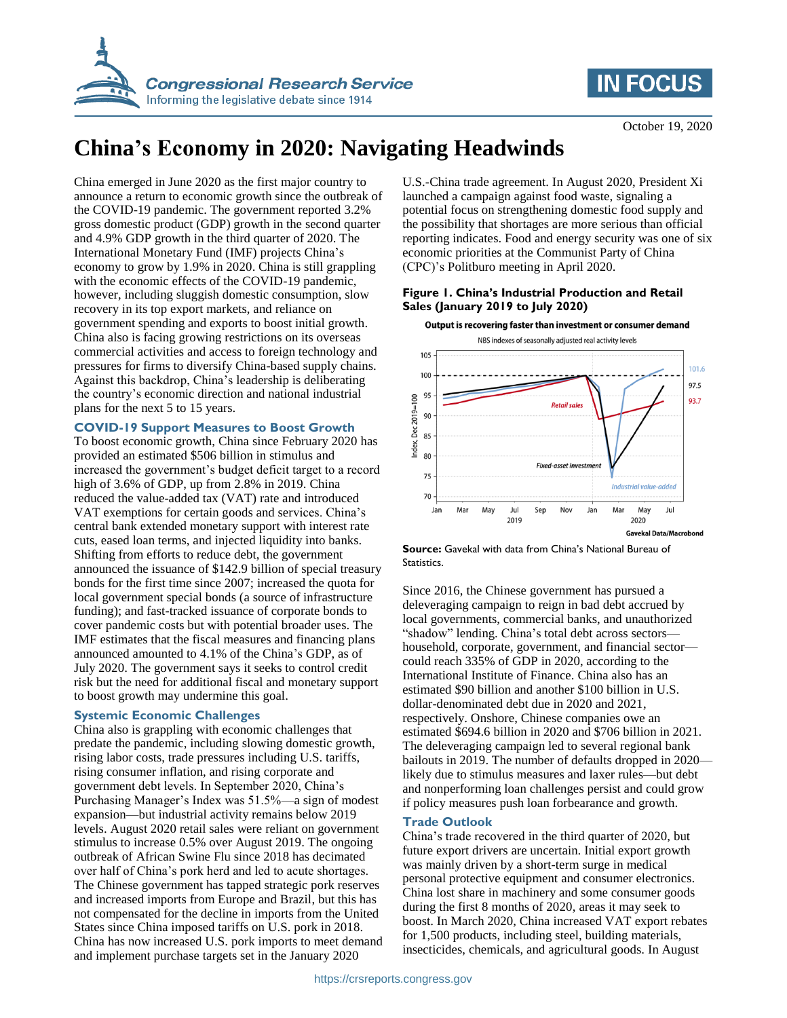



# **China's Economy in 2020: Navigating Headwinds**

China emerged in June 2020 as the first major country to announce a return to economic growth since the outbreak of the COVID-19 pandemic. The government reported 3.2% gross domestic product (GDP) growth in the second quarter and 4.9% GDP growth in the third quarter of 2020. The International Monetary Fund (IMF) projects China's economy to grow by 1.9% in 2020. China is still grappling with the economic effects of the COVID-19 pandemic, however, including sluggish domestic consumption, slow recovery in its top export markets, and reliance on government spending and exports to boost initial growth. China also is facing growing restrictions on its overseas commercial activities and access to foreign technology and pressures for firms to diversify China-based supply chains. Against this backdrop, China's leadership is deliberating the country's economic direction and national industrial plans for the next 5 to 15 years.

## **COVID-19 Support Measures to Boost Growth**

To boost economic growth, China since February 2020 has provided an estimated \$506 billion in stimulus and increased the government's budget deficit target to a record high of 3.6% of GDP, up from 2.8% in 2019. China reduced the value-added tax (VAT) rate and introduced VAT exemptions for certain goods and services. China's central bank extended monetary support with interest rate cuts, eased loan terms, and injected liquidity into banks. Shifting from efforts to reduce debt, the government announced the issuance of \$142.9 billion of special treasury bonds for the first time since 2007; increased the quota for local government special bonds (a source of infrastructure funding); and fast-tracked issuance of corporate bonds to cover pandemic costs but with potential broader uses. The IMF estimates that the fiscal measures and financing plans announced amounted to 4.1% of the China's GDP, as of July 2020. The government says it seeks to control credit risk but the need for additional fiscal and monetary support to boost growth may undermine this goal.

# **Systemic Economic Challenges**

China also is grappling with economic challenges that predate the pandemic, including slowing domestic growth, rising labor costs, trade pressures including U.S. tariffs, rising consumer inflation, and rising corporate and government debt levels. In September 2020, China's Purchasing Manager's Index was 51.5%—a sign of modest expansion—but industrial activity remains below 2019 levels. August 2020 retail sales were reliant on government stimulus to increase 0.5% over August 2019. The ongoing outbreak of African Swine Flu since 2018 has decimated over half of China's pork herd and led to acute shortages. The Chinese government has tapped strategic pork reserves and increased imports from Europe and Brazil, but this has not compensated for the decline in imports from the United States since China imposed tariffs on U.S. pork in 2018. China has now increased U.S. pork imports to meet demand and implement purchase targets set in the January 2020

U.S.-China trade agreement. In August 2020, President Xi launched a campaign against food waste, signaling a potential focus on strengthening domestic food supply and the possibility that shortages are more serious than official reporting indicates. Food and energy security was one of six economic priorities at the Communist Party of China (CPC)'s Politburo meeting in April 2020.

### **Figure 1. China's Industrial Production and Retail Sales (January 2019 to July 2020)**



**Source:** Gavekal with data from China's National Bureau of Statistics.

Since 2016, the Chinese government has pursued a deleveraging campaign to reign in bad debt accrued by local governments, commercial banks, and unauthorized "shadow" lending. China's total debt across sectors household, corporate, government, and financial sector could reach 335% of GDP in 2020, according to the International Institute of Finance. China also has an estimated \$90 billion and another \$100 billion in U.S. dollar-denominated debt due in 2020 and 2021, respectively. Onshore, Chinese companies owe an estimated \$694.6 billion in 2020 and \$706 billion in 2021. The deleveraging campaign led to several regional bank bailouts in 2019. The number of defaults dropped in 2020 likely due to stimulus measures and laxer rules—but debt and nonperforming loan challenges persist and could grow if policy measures push loan forbearance and growth.

# **Trade Outlook**

China's trade recovered in the third quarter of 2020, but future export drivers are uncertain. Initial export growth was mainly driven by a short-term surge in medical personal protective equipment and consumer electronics. China lost share in machinery and some consumer goods during the first 8 months of 2020, areas it may seek to boost. In March 2020, China increased VAT export rebates for 1,500 products, including steel, building materials, insecticides, chemicals, and agricultural goods. In August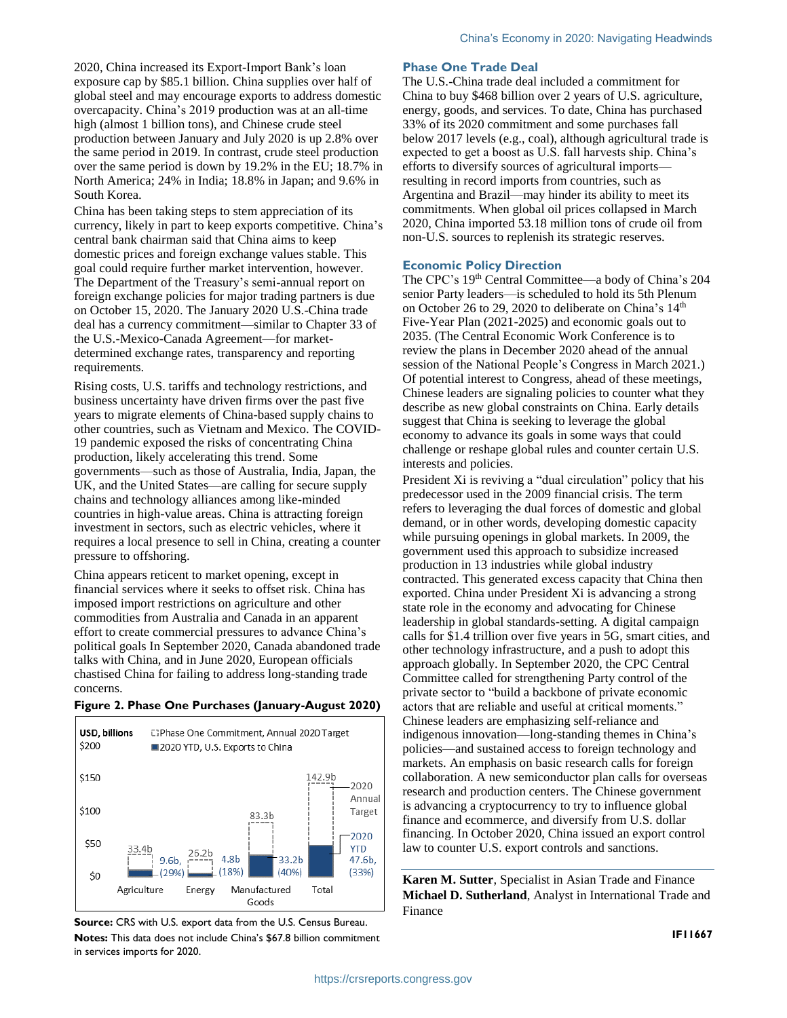2020, China increased its Export-Import Bank's loan exposure cap by \$85.1 billion. China supplies over half of global steel and may encourage exports to address domestic overcapacity. China's 2019 production was at an all-time high (almost 1 billion tons), and Chinese crude steel production between January and July 2020 is up 2.8% over the same period in 2019. In contrast, crude steel production over the same period is down by 19.2% in the EU; 18.7% in North America; 24% in India; 18.8% in Japan; and 9.6% in South Korea.

China has been taking steps to stem appreciation of its currency, likely in part to keep exports competitive. China's central bank chairman said that China aims to keep domestic prices and foreign exchange values stable. This goal could require further market intervention, however. The Department of the Treasury's semi-annual report on foreign exchange policies for major trading partners is due on October 15, 2020. The January 2020 U.S.-China trade deal has a currency commitment—similar to Chapter 33 of the U.S.-Mexico-Canada Agreement—for marketdetermined exchange rates, transparency and reporting requirements.

Rising costs, U.S. tariffs and technology restrictions, and business uncertainty have driven firms over the past five years to migrate elements of China-based supply chains to other countries, such as Vietnam and Mexico. The COVID-19 pandemic exposed the risks of concentrating China production, likely accelerating this trend. Some governments—such as those of Australia, India, Japan, the UK, and the United States—are calling for secure supply chains and technology alliances among like-minded countries in high-value areas. China is attracting foreign investment in sectors, such as electric vehicles, where it requires a local presence to sell in China, creating a counter pressure to offshoring.

China appears reticent to market opening, except in financial services where it seeks to offset risk. China has imposed import restrictions on agriculture and other commodities from Australia and Canada in an apparent effort to create commercial pressures to advance China's political goals In September 2020, Canada abandoned trade talks with China, and in June 2020, European officials chastised China for failing to address long-standing trade concerns.





**Source:** CRS with U.S. export data from the U.S. Census Bureau. **Notes:** This data does not include China's \$67.8 billion commitment in services imports for 2020.

#### **Phase One Trade Deal**

The U.S.-China trade deal included a commitment for China to buy \$468 billion over 2 years of U.S. agriculture, energy, goods, and services. To date, China has purchased 33% of its 2020 commitment and some purchases fall below 2017 levels (e.g., coal), although agricultural trade is expected to get a boost as U.S. fall harvests ship. China's efforts to diversify sources of agricultural imports resulting in record imports from countries, such as Argentina and Brazil—may hinder its ability to meet its commitments. When global oil prices collapsed in March 2020, China imported 53.18 million tons of crude oil from non-U.S. sources to replenish its strategic reserves.

#### **Economic Policy Direction**

The CPC's 19<sup>th</sup> Central Committee—a body of China's 204 senior Party leaders—is scheduled to hold its 5th Plenum on October 26 to 29, 2020 to deliberate on China's  $14<sup>th</sup>$ Five-Year Plan (2021-2025) and economic goals out to 2035. (The Central Economic Work Conference is to review the plans in December 2020 ahead of the annual session of the National People's Congress in March 2021.) Of potential interest to Congress, ahead of these meetings, Chinese leaders are signaling policies to counter what they describe as new global constraints on China. Early details suggest that China is seeking to leverage the global economy to advance its goals in some ways that could challenge or reshape global rules and counter certain U.S. interests and policies.

President Xi is reviving a "dual circulation" policy that his predecessor used in the 2009 financial crisis. The term refers to leveraging the dual forces of domestic and global demand, or in other words, developing domestic capacity while pursuing openings in global markets. In 2009, the government used this approach to subsidize increased production in 13 industries while global industry contracted. This generated excess capacity that China then exported. China under President Xi is advancing a strong state role in the economy and advocating for Chinese leadership in global standards-setting. A digital campaign calls for \$1.4 trillion over five years in 5G, smart cities, and other technology infrastructure, and a push to adopt this approach globally. In September 2020, the CPC Central Committee called for strengthening Party control of the private sector to "build a backbone of private economic actors that are reliable and useful at critical moments." Chinese leaders are emphasizing self-reliance and indigenous innovation—long-standing themes in China's policies—and sustained access to foreign technology and markets. An emphasis on basic research calls for foreign collaboration. A new semiconductor plan calls for overseas research and production centers. The Chinese government is advancing a cryptocurrency to try to influence global finance and ecommerce, and diversify from U.S. dollar financing. In October 2020, China issued an export control law to counter U.S. export controls and sanctions.

**Karen M. Sutter**, Specialist in Asian Trade and Finance **Michael D. Sutherland**, Analyst in International Trade and Finance